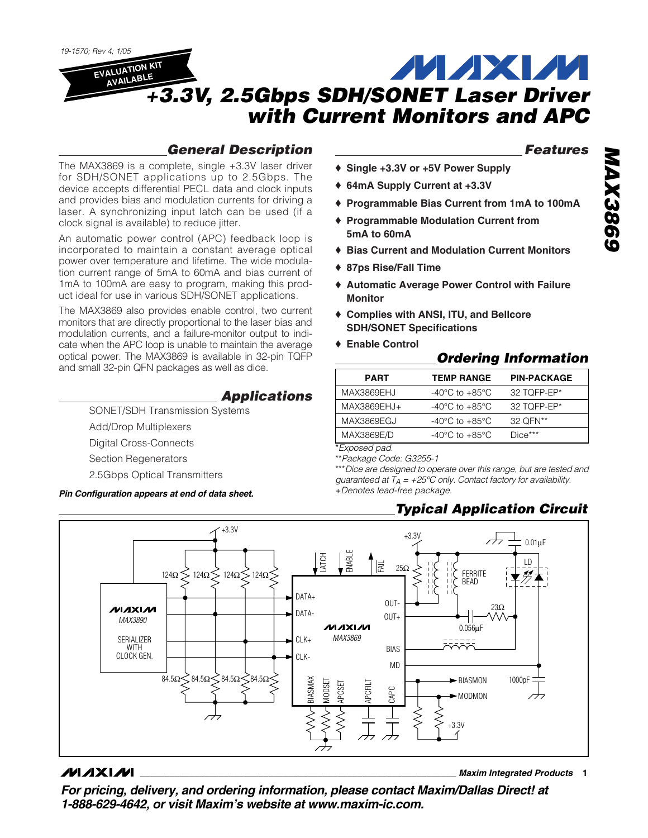*19-1570; Rev 4; 1/05*

## **MAXM EVALUATION KIT AVAILABLE** *+3.3V, 2.5Gbps SDH/SONET Laser Driver with Current Monitors and APC*

# *General Description*

The MAX3869 is a complete, single +3.3V laser driver for SDH/SONET applications up to 2.5Gbps. The device accepts differential PECL data and clock inputs and provides bias and modulation currents for driving a laser. A synchronizing input latch can be used (if a clock signal is available) to reduce jitter.

An automatic power control (APC) feedback loop is incorporated to maintain a constant average optical power over temperature and lifetime. The wide modulation current range of 5mA to 60mA and bias current of 1mA to 100mA are easy to program, making this product ideal for use in various SDH/SONET applications.

The MAX3869 also provides enable control, two current monitors that are directly proportional to the laser bias and modulation currents, and a failure-monitor output to indicate when the APC loop is unable to maintain the average optical power. The MAX3869 is available in 32-pin TQFP and small 32-pin QFN packages as well as dice.

## *Applications*

SONET/SDH Transmission Systems Add/Drop Multiplexers Digital Cross-Connects Section Regenerators 2.5Gbps Optical Transmitters

*Pin Configuration appears at end of data sheet.*

## *Features*

- ♦ **Single +3.3V or +5V Power Supply**
- ♦ **64mA Supply Current at +3.3V**
- ♦ **Programmable Bias Current from 1mA to 100mA**
- ♦ **Programmable Modulation Current from 5mA to 60mA**
- ♦ **Bias Current and Modulation Current Monitors**
- ♦ **87ps Rise/Fall Time**
- ♦ **Automatic Average Power Control with Failure Monitor**
- ♦ **Complies with ANSI, ITU, and Bellcore SDH/SONET Specifications**
- ♦ **Enable Control**

# *Ordering Information*

| <b>PART</b> | <b>TEMP RANGE</b>                    | <b>PIN-PACKAGE</b> |
|-------------|--------------------------------------|--------------------|
| MAX3869EHJ  | -40 $^{\circ}$ C to +85 $^{\circ}$ C | 32 TQFP-EP*        |
| MAX3869EHJ+ | $-40^{\circ}$ C to $+85^{\circ}$ C   | 32 TOFP-EP*        |
| MAX3869EGJ  | $-40^{\circ}$ C to $+85^{\circ}$ C   | 32 OFN**           |
| MAX3869E/D  | $-40^{\circ}$ C to $+85^{\circ}$ C   | Dice***            |

\**Exposed pad.*

\*\**Package Code: G3255-1*

\*\*\**Dice are designed to operate over this range, but are tested and guaranteed at TA = +25°C only. Contact factory for availability.* +*Denotes lead-free package.*

# *Typical Application Circuit*



## **MAXIM**

**\_\_\_\_\_\_\_\_\_\_\_\_\_\_\_\_\_\_\_\_\_\_\_\_\_\_\_\_\_\_\_\_\_\_\_\_\_\_\_\_\_\_\_\_\_\_\_\_\_\_\_\_\_\_\_\_\_\_\_\_\_\_\_\_** *Maxim Integrated Products* **1**

*For pricing, delivery, and ordering information, please contact Maxim/Dallas Direct! at 1-888-629-4642, or visit Maxim's website at www.maxim-ic.com.*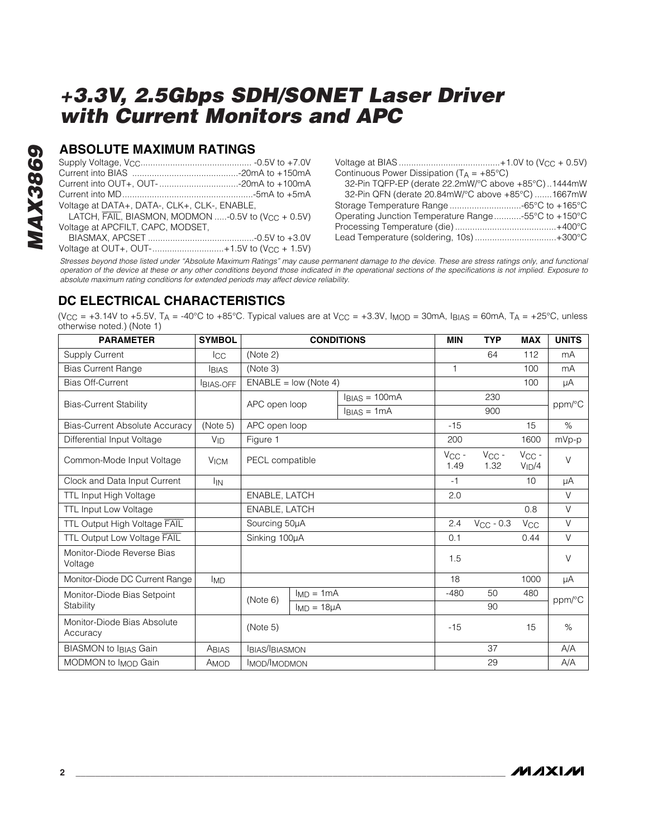## **ABSOLUTE MAXIMUM RATINGS**

| Voltage at DATA+, DATA-, CLK+, CLK-, ENABLE,                   |  |
|----------------------------------------------------------------|--|
| LATCH, FAIL, BIASMON, MODMON -0.5V to (V <sub>CC</sub> + 0.5V) |  |
| Voltage at APCFILT, CAPC, MODSET,                              |  |
|                                                                |  |
| Voltage at OUT+, OUT-+1.5V to $(V_{CC} + 1.5V)$                |  |

Voltage at BIAS .........................................+1.0V to (VCC + 0.5V) Continuous Power Dissipation  $(T_A = +85^{\circ}C)$ 

| 32-Pin TQFP-EP (derate 22.2mW/°C above +85°C)1444mW |  |
|-----------------------------------------------------|--|
| 32-Pin QFN (derate 20.84mW/°C above +85°C) 1667mW   |  |
|                                                     |  |
| Operating Junction Temperature Range-55°C to +150°C |  |
|                                                     |  |
| Lead Temperature (soldering, 10s)+300°C             |  |

*Stresses beyond those listed under "Absolute Maximum Ratings" may cause permanent damage to the device. These are stress ratings only, and functional operation of the device at these or any other conditions beyond those indicated in the operational sections of the specifications is not implied. Exposure to absolute maximum rating conditions for extended periods may affect device reliability.*

## **DC ELECTRICAL CHARACTERISTICS**

(V<sub>CC</sub> = +3.14V to +5.5V, T<sub>A</sub> = -40°C to +85°C. Typical values are at V<sub>CC</sub> = +3.3V, I<sub>MOD</sub> = 30mA, I<sub>BIAS</sub> = 60mA, T<sub>A</sub> = +25°C, unless otherwise noted.) (Note 1)

| <b>PARAMETER</b>                        | <b>SYMBOL</b>         | <b>CONDITIONS</b>     |                         |                    | <b>MIN</b>                                   | <b>TYP</b>               | <b>MAX</b> | <b>UNITS</b> |        |
|-----------------------------------------|-----------------------|-----------------------|-------------------------|--------------------|----------------------------------------------|--------------------------|------------|--------------|--------|
| <b>Supply Current</b>                   | Icc                   | (Note 2)              |                         |                    |                                              | 64                       | 112        | mA           |        |
| <b>Bias Current Range</b>               | <b>BIAS</b>           | (Note 3)              |                         |                    |                                              | $\mathbf{1}$             |            | 100          | mA     |
| <b>Bias Off-Current</b>                 | <b>BIAS-OFF</b>       |                       | $ENABLE = low (Note 4)$ |                    |                                              |                          |            | 100          | μA     |
| <b>Bias-Current Stability</b>           |                       | APC open loop         |                         | $IBIAS = 100mA$    |                                              |                          | 230        |              |        |
|                                         |                       |                       | $IBIAS = 1mA$           |                    |                                              | 900                      |            | ppm/°C       |        |
| <b>Bias-Current Absolute Accuracy</b>   | (Note 5)              | APC open loop         |                         |                    |                                              | $-15$                    |            | 15           | $\%$   |
| Differential Input Voltage              | $V_{ID}$              | Figure 1              |                         |                    |                                              | 200                      |            | 1600         | mVp-p  |
| Common-Mode Input Voltage               | <b>VICM</b>           | PECL compatible       |                         | $V_{CC}$ -<br>1.49 | $\ensuremath{\mathsf{V}\text{CC}}$ -<br>1.32 | $V_{CC}$ -<br>$V_{ID}/4$ | $\vee$     |              |        |
| Clock and Data Input Current            | <b>I<sub>IN</sub></b> |                       |                         |                    | $-1$                                         |                          | 10         | μA           |        |
| TTL Input High Voltage                  |                       | ENABLE, LATCH         |                         |                    | 2.0                                          |                          |            | $\vee$       |        |
| <b>TTL Input Low Voltage</b>            |                       | ENABLE, LATCH         |                         |                    |                                              |                          | 0.8        | $\vee$       |        |
| TTL Output High Voltage FAIL            |                       | Sourcing 50µA         |                         | 2.4                | $V_{CC}$ - 0.3                               | $V_{\rm CC}$             | $\vee$     |              |        |
| TTL Output Low Voltage FAIL             |                       | Sinking 100µA         |                         | 0.1                |                                              | 0.44                     | $\vee$     |              |        |
| Monitor-Diode Reverse Bias<br>Voltage   |                       |                       |                         | 1.5                |                                              |                          | $\vee$     |              |        |
| Monitor-Diode DC Current Range          | <b>IMD</b>            |                       |                         |                    | 18                                           |                          | 1000       | μA           |        |
| Monitor-Diode Bias Setpoint             |                       | (Note 6)              | $ImD = 1mA$             |                    |                                              | $-480$                   | 50         | 480          | ppm/°C |
| Stability                               |                       |                       | $I_{MD} = 18\mu A$      |                    |                                              |                          | 90         |              |        |
| Monitor-Diode Bias Absolute<br>Accuracy |                       | (Note 5)              |                         |                    | $-15$                                        |                          | 15         | $\%$         |        |
| <b>BIASMON to IBIAS Gain</b>            | ABIAS                 | <b>IBIAS/IBIASMON</b> |                         |                    |                                              |                          | 37         |              | A/A    |
| MODMON to I <sub>MOD</sub> Gain         | AMOD                  | IMOD/IMODMON          |                         |                    | 29                                           |                          | A/A        |              |        |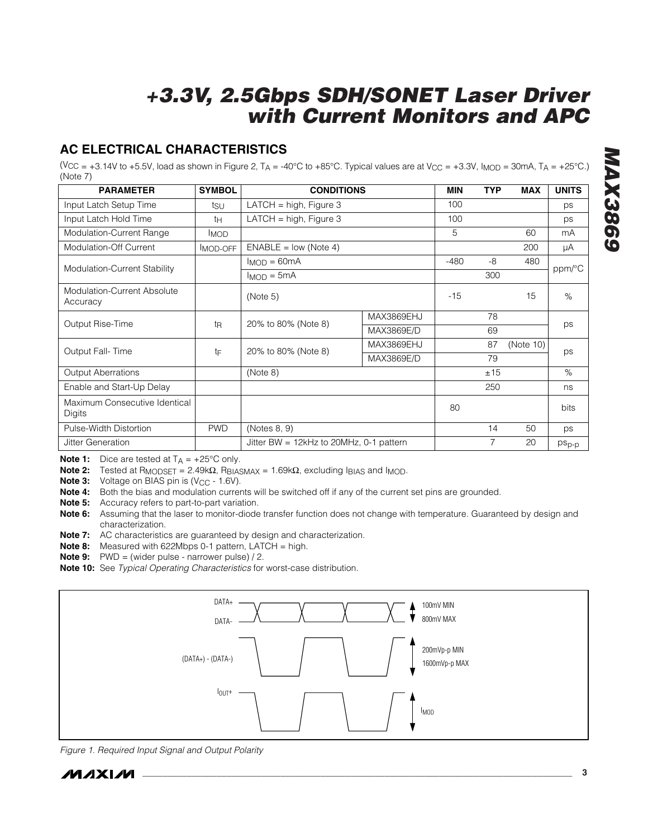# **AC ELECTRICAL CHARACTERISTICS**

(V<sub>CC</sub> = +3.14V to +5.5V, load as shown in Figure 2, T<sub>A</sub> = -40°C to +85°C. Typical values are at V<sub>CC</sub> = +3.3V, I<sub>MOD</sub> = 30mA, T<sub>A</sub> = +25°C.) (Note 7)

| <b>PARAMETER</b>                        | <b>SYMBOL</b>  | <b>CONDITIONS</b>                               |            | <b>MIN</b> | <b>TYP</b> | <b>MAX</b> | <b>UNITS</b>      |  |
|-----------------------------------------|----------------|-------------------------------------------------|------------|------------|------------|------------|-------------------|--|
| Input Latch Setup Time                  | tsu            | LATCH = high, Figure 3                          |            | 100        |            |            | ps                |  |
| Input Latch Hold Time                   | tн             | LATCH = $high$ , Figure 3                       |            | 100        |            |            | ps                |  |
| Modulation-Current Range                | <b>IMOD</b>    |                                                 |            | 5          |            | 60         | mA                |  |
| Modulation-Off Current                  | MOD-OFF        | $ENABLE = low (Note 4)$                         |            |            |            | 200        | μA                |  |
| Modulation-Current Stability            |                | $I_{MOD} = 60mA$                                |            | $-480$     | -8         | 480        | ppm/°C            |  |
|                                         |                | $I_{MOD} = 5mA$                                 |            |            | 300        |            |                   |  |
| Modulation-Current Absolute<br>Accuracy |                | (Note 5)                                        |            | $-15$      |            | 15         | $\%$              |  |
|                                         | t <sub>R</sub> | 20% to 80% (Note 8)                             | MAX3869EHJ |            | 78         |            |                   |  |
| Output Rise-Time                        |                |                                                 | MAX3869E/D |            | 69         |            | ps                |  |
| Output Fall-Time                        | tF             | MAX3869EHJ<br>20% to 80% (Note 8)<br>MAX3869E/D |            |            | 87         | (Note 10)  | ps                |  |
|                                         |                |                                                 |            | 79         |            |            |                   |  |
| <b>Output Aberrations</b>               |                | (Note 8)                                        |            |            | ±15        |            | $\%$              |  |
| Enable and Start-Up Delay               |                |                                                 |            |            | 250        |            | ns                |  |
| Maximum Consecutive Identical<br>Digits |                |                                                 |            | 80         |            |            | bits              |  |
| Pulse-Width Distortion                  | <b>PWD</b>     | (Notes 8, 9)                                    |            |            | 14         | 50         | ps                |  |
| Jitter Generation                       |                | Jitter BW = $12kHz$ to $20MHz$ , 0-1 pattern    |            |            | 7          | 20         | ps <sub>p-p</sub> |  |

**Note 1:** Dice are tested at  $T_A = +25^\circ \text{C}$  only.

**Note 2:** Tested at R<sub>MODSET</sub> = 2.49kΩ, R<sub>BIASMAX</sub> = 1.69kΩ, excluding I<sub>BIAS</sub> and I<sub>MOD</sub>.

**Note 3:** Voltage on BIAS pin is (V<sub>CC</sub> - 1.6V).

**Note 4:** Both the bias and modulation currents will be switched off if any of the current set pins are grounded.

**Note 5:** Accuracy refers to part-to-part variation.

**Note 6:** Assuming that the laser to monitor-diode transfer function does not change with temperature. Guaranteed by design and characterization.

**Note 7:** AC characteristics are guaranteed by design and characterization.

**Note 8:** Measured with 622Mbps 0-1 pattern, LATCH = high.

**Note 9:** PWD = (wider pulse - narrower pulse) / 2.

**Note 10:** See *Typical Operating Characteristics* for worst-case distribution.



*Figure 1. Required Input Signal and Output Polarity*

*MAX3869*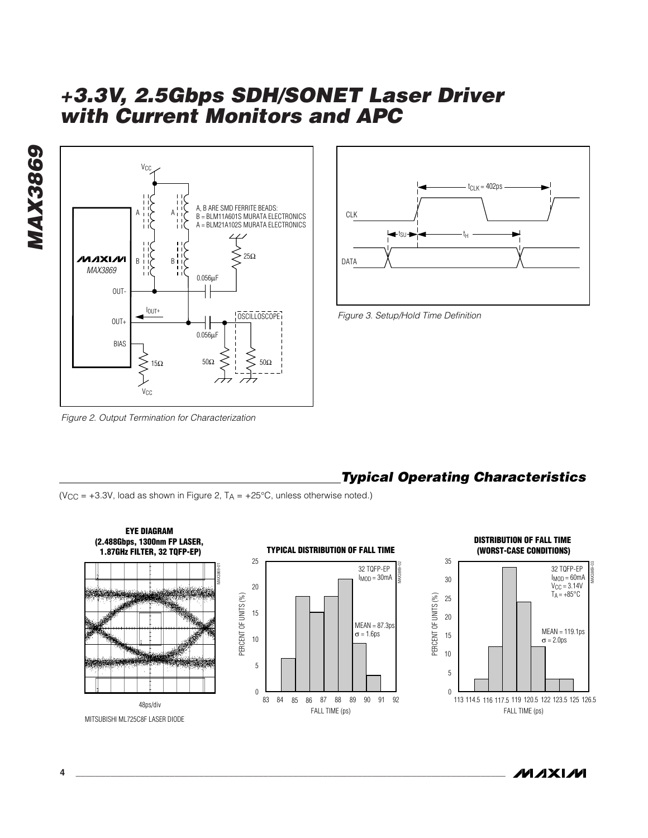



*Figure 3. Setup/Hold Time Definition*

*Figure 2. Output Termination for Characterization*



(V<sub>CC</sub> =  $+3.3V$ , load as shown in Figure 2, T<sub>A</sub> =  $+25^{\circ}$ C, unless otherwise noted.)





*MAX3869*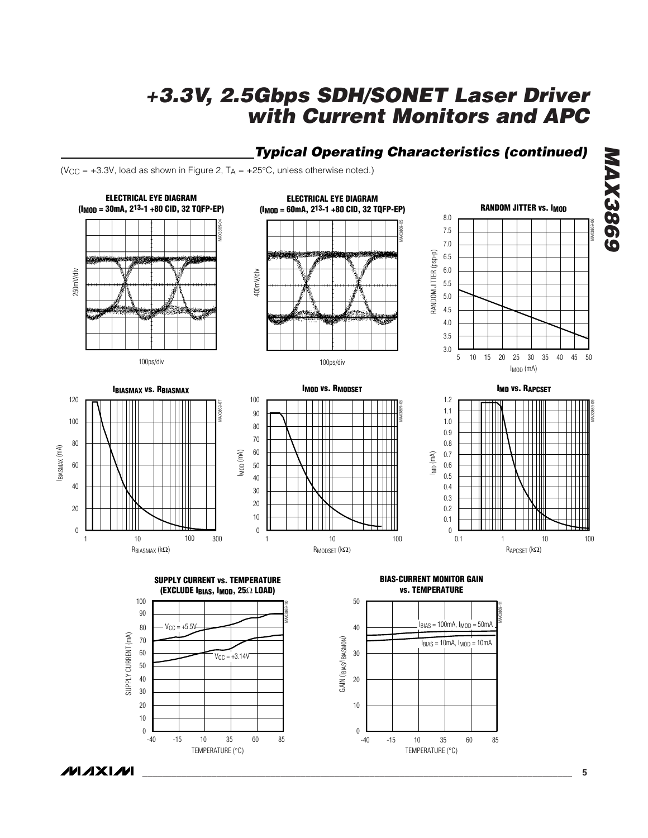# *Typical Operating Characteristics (continued)*

(V<sub>CC</sub> =  $+3.3V$ , load as shown in Figure 2, T<sub>A</sub> =  $+25^{\circ}$ C, unless otherwise noted.)

**MAXM** 



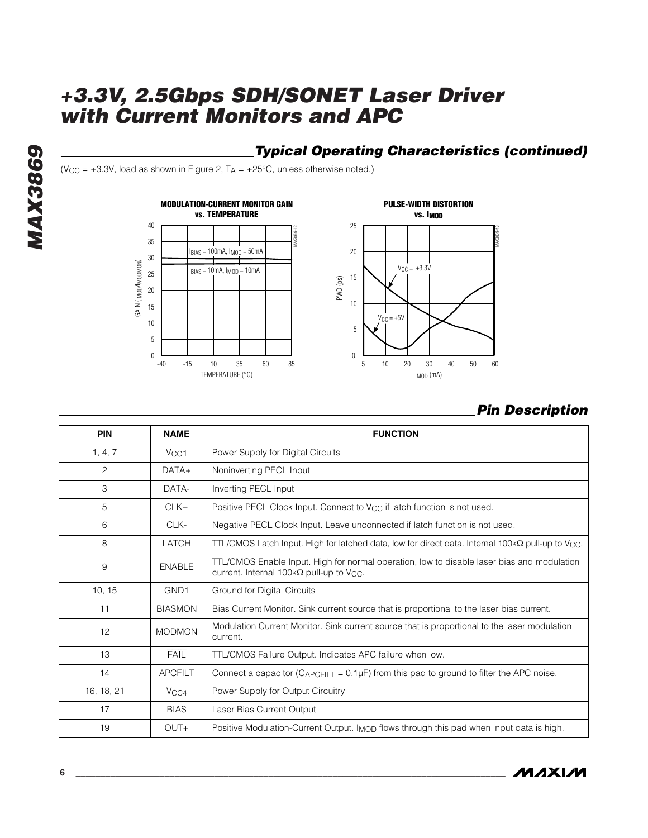# *Typical Operating Characteristics (continued)*

( $V_{CC}$  = +3.3V, load as shown in Figure 2,  $T_A$  = +25°C, unless otherwise noted.)







## *Pin Description*

| PIN        | <b>NAME</b>       | <b>FUNCTION</b>                                                                                                                                            |
|------------|-------------------|------------------------------------------------------------------------------------------------------------------------------------------------------------|
| 1, 4, 7    | V <sub>CC</sub> 1 | Power Supply for Digital Circuits                                                                                                                          |
| 2          | $DATA+$           | Noninverting PECL Input                                                                                                                                    |
| 3          | DATA-             | Inverting PECL Input                                                                                                                                       |
| 5          | $CLK+$            | Positive PECL Clock Input. Connect to V <sub>CC</sub> if latch function is not used.                                                                       |
| 6          | CLK-              | Negative PECL Clock Input. Leave unconnected if latch function is not used.                                                                                |
| 8          | LATCH             | TTL/CMOS Latch Input. High for latched data, low for direct data. Internal 100k $\Omega$ pull-up to V <sub>CC</sub> .                                      |
| 9          | <b>ENABLE</b>     | TTL/CMOS Enable Input. High for normal operation, low to disable laser bias and modulation<br>current. Internal 100k $\Omega$ pull-up to V <sub>CC</sub> . |
| 10, 15     | GND <sub>1</sub>  | Ground for Digital Circuits                                                                                                                                |
| 11         | <b>BIASMON</b>    | Bias Current Monitor. Sink current source that is proportional to the laser bias current.                                                                  |
| 12         | <b>MODMON</b>     | Modulation Current Monitor. Sink current source that is proportional to the laser modulation<br>current.                                                   |
| 13         | <b>FAIL</b>       | TTL/CMOS Failure Output. Indicates APC failure when low.                                                                                                   |
| 14         | <b>APCFILT</b>    | Connect a capacitor ( $C_{APCFLT} = 0.1 \mu F$ ) from this pad to ground to filter the APC noise.                                                          |
| 16, 18, 21 | V <sub>CC4</sub>  | Power Supply for Output Circuitry                                                                                                                          |
| 17         | <b>BIAS</b>       | Laser Bias Current Output                                                                                                                                  |
| 19         | $OUT+$            | Positive Modulation-Current Output. Imop flows through this pad when input data is high.                                                                   |

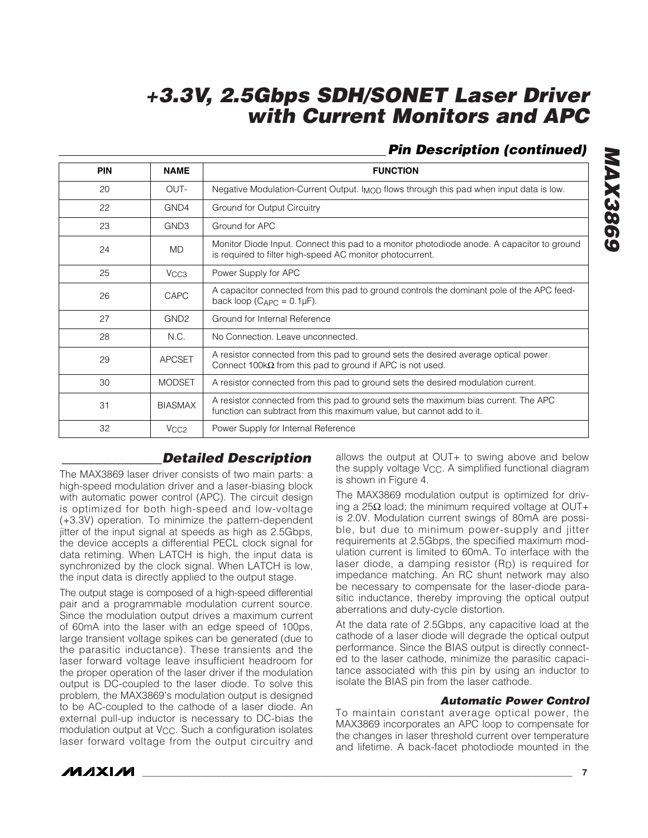# *Pin Description (continued)*

| <b>PIN</b> | <b>NAME</b>      | <b>FUNCTION</b>                                                                                                                                             |
|------------|------------------|-------------------------------------------------------------------------------------------------------------------------------------------------------------|
| 20         | OUT-             | Negative Modulation-Current Output. I <sub>MOD</sub> flows through this pad when input data is low.                                                         |
| 22         | GND4             | Ground for Output Circuitry                                                                                                                                 |
| 23         | GND <sub>3</sub> | Ground for APC                                                                                                                                              |
| 24         | <b>MD</b>        | Monitor Diode Input. Connect this pad to a monitor photodiode anode. A capacitor to ground<br>is required to filter high-speed AC monitor photocurrent.     |
| 25         | V <sub>CC3</sub> | Power Supply for APC                                                                                                                                        |
| 26         | CAPC             | A capacitor connected from this pad to ground controls the dominant pole of the APC feed-<br>back loop $(C_{\text{APC}} = 0.1 \mu\text{F})$ .               |
| 27         | GND <sub>2</sub> | Ground for Internal Reference                                                                                                                               |
| 28         | N.C.             | No Connection, Leave unconnected.                                                                                                                           |
| 29         | <b>APCSET</b>    | A resistor connected from this pad to ground sets the desired average optical power.<br>Connect 100 $k\Omega$ from this pad to ground if APC is not used.   |
| 30         | <b>MODSET</b>    | A resistor connected from this pad to ground sets the desired modulation current.                                                                           |
| 31         | <b>BIASMAX</b>   | A resistor connected from this pad to ground sets the maximum bias current. The APC<br>function can subtract from this maximum value, but cannot add to it. |
| 32         | V <sub>CC2</sub> | Power Supply for Internal Reference                                                                                                                         |

## *\_\_\_\_\_\_\_\_\_\_\_\_\_\_\_Detailed Description*

The MAX3869 laser driver consists of two main parts: a high-speed modulation driver and a laser-biasing block with automatic power control (APC). The circuit design is optimized for both high-speed and low-voltage (+3.3V) operation. To minimize the pattern-dependent jitter of the input signal at speeds as high as 2.5Gbps, the device accepts a differential PECL clock signal for data retiming. When LATCH is high, the input data is synchronized by the clock signal. When LATCH is low, the input data is directly applied to the output stage.

The output stage is composed of a high-speed differential pair and a programmable modulation current source. Since the modulation output drives a maximum current of 60mA into the laser with an edge speed of 100ps, large transient voltage spikes can be generated (due to the parasitic inductance). These transients and the laser forward voltage leave insufficient headroom for the proper operation of the laser driver if the modulation output is DC-coupled to the laser diode. To solve this problem, the MAX3869's modulation output is designed to be AC-coupled to the cathode of a laser diode. An external pull-up inductor is necessary to DC-bias the modulation output at V<sub>CC</sub>. Such a configuration isolates laser forward voltage from the output circuitry and

allows the output at OUT+ to swing above and below the supply voltage VCC. A simplified functional diagram is shown in Figure 4.

The MAX3869 modulation output is optimized for driving a 25Ω load; the minimum required voltage at OUT+ is 2.0V. Modulation current swings of 80mA are possible, but due to minimum power-supply and jitter requirements at 2.5Gbps, the specified maximum modulation current is limited to 60mA. To interface with the laser diode, a damping resistor (RD) is required for impedance matching. An RC shunt network may also be necessary to compensate for the laser-diode parasitic inductance, thereby improving the optical output aberrations and duty-cycle distortion.

At the data rate of 2.5Gbps, any capacitive load at the cathode of a laser diode will degrade the optical output performance. Since the BIAS output is directly connected to the laser cathode, minimize the parasitic capacitance associated with this pin by using an inductor to isolate the BIAS pin from the laser cathode.

### *Automatic Power Control*

To maintain constant average optical power, the MAX3869 incorporates an APC loop to compensate for the changes in laser threshold current over temperature and lifetime. A back-facet photodiode mounted in the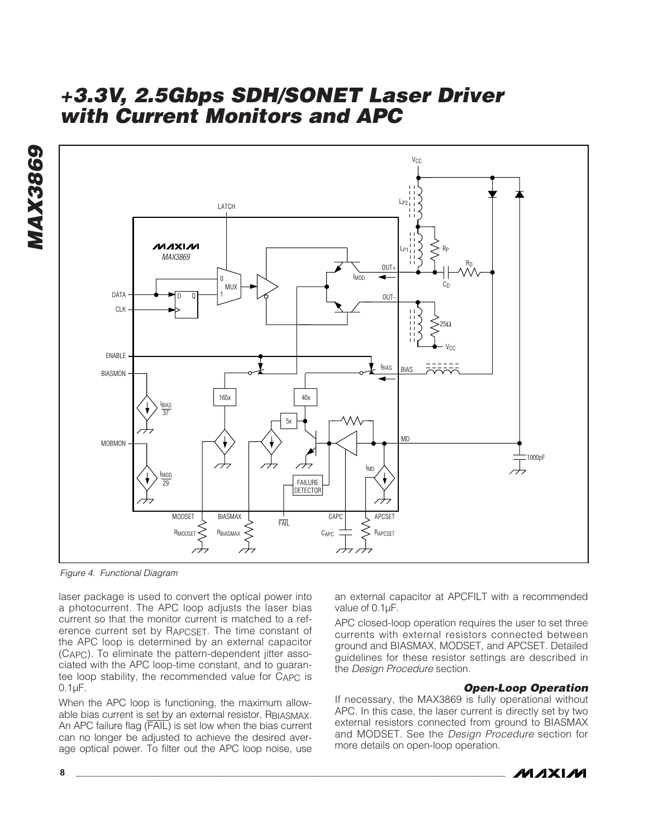

*Figure 4. Functional Diagram*

laser package is used to convert the optical power into a photocurrent. The APC loop adjusts the laser bias current so that the monitor current is matched to a reference current set by RAPCSET. The time constant of the APC loop is determined by an external capacitor (CAPC). To eliminate the pattern-dependent jitter associated with the APC loop-time constant, and to guarantee loop stability, the recommended value for CAPC is 0.1µF.

When the APC loop is functioning, the maximum allowable bias current is set by an external resistor, RBIASMAX. An APC failure flag (FAIL) is set low when the bias current can no longer be adjusted to achieve the desired average optical power. To filter out the APC loop noise, use an external capacitor at APCFILT with a recommended value of 0.1µF.

APC closed-loop operation requires the user to set three currents with external resistors connected between ground and BIASMAX, MODSET, and APCSET. Detailed guidelines for these resistor settings are described in the *Design Procedure* section.

### *Open-Loop Operation*

If necessary, the MAX3869 is fully operational without APC. In this case, the laser current is directly set by two external resistors connected from ground to BIASMAX and MODSET. See the *Design Procedure* section for more details on open-loop operation.

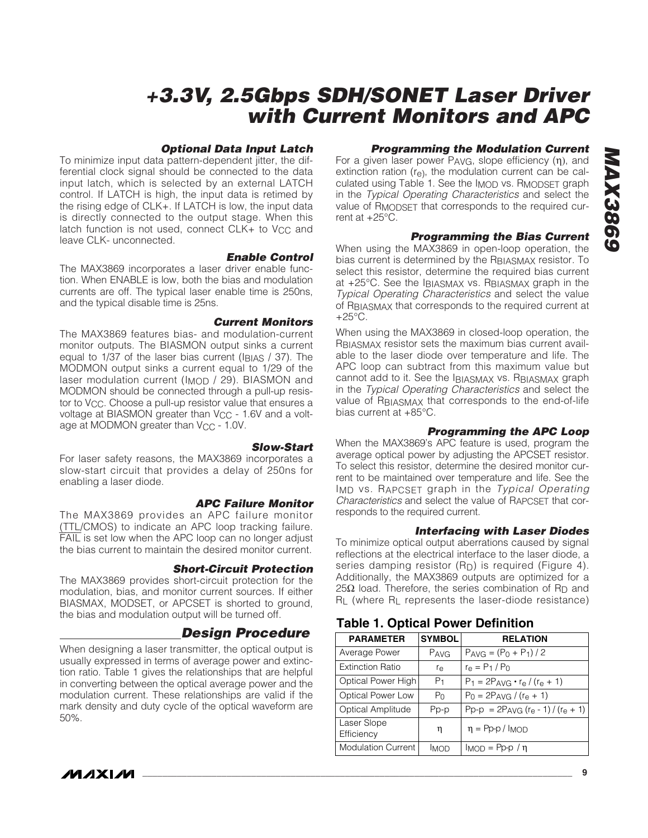### *Optional Data Input Latch*

To minimize input data pattern-dependent jitter, the differential clock signal should be connected to the data input latch, which is selected by an external LATCH control. If LATCH is high, the input data is retimed by the rising edge of CLK+. If LATCH is low, the input data is directly connected to the output stage. When this latch function is not used, connect  $CLK+$  to  $V_{CC}$  and leave CLK- unconnected.

#### *Enable Control*

The MAX3869 incorporates a laser driver enable function. When ENABLE is low, both the bias and modulation currents are off. The typical laser enable time is 250ns, and the typical disable time is 25ns.

*Current Monitors*

The MAX3869 features bias- and modulation-current monitor outputs. The BIASMON output sinks a current equal to  $1/37$  of the laser bias current ( $I_{\text{BIAS}}$  / 37). The MODMON output sinks a current equal to 1/29 of the laser modulation current (I<sub>MOD</sub> / 29). BIASMON and MODMON should be connected through a pull-up resistor to V<sub>CC</sub>. Choose a pull-up resistor value that ensures a voltage at BIASMON greater than V<sub>CC</sub> - 1.6V and a voltage at MODMON greater than V<sub>CC</sub> - 1.0V.

#### *Slow-Start*

For laser safety reasons, the MAX3869 incorporates a slow-start circuit that provides a delay of 250ns for enabling a laser diode.

### *APC Failure Monitor*

The MAX3869 provides an APC failure monitor (TTL/CMOS) to indicate an APC loop tracking failure. FAIL is set low when the APC loop can no longer adjust the bias current to maintain the desired monitor current.

#### *Short-Circuit Protection*

The MAX3869 provides short-circuit protection for the modulation, bias, and monitor current sources. If either BIASMAX, MODSET, or APCSET is shorted to ground, the bias and modulation output will be turned off.

## *Design Procedure*

When designing a laser transmitter, the optical output is usually expressed in terms of average power and extinction ratio. Table 1 gives the relationships that are helpful in converting between the optical average power and the modulation current. These relationships are valid if the mark density and duty cycle of the optical waveform are 50%.

## *Programming the Modulation Current*

For a given laser power PAVG, slope efficiency (η), and extinction ration (re), the modulation current can be calculated using Table 1. See the IMOD vs. RMODSET graph in the *Typical Operating Characteristics* and select the value of R<sub>MODSFT</sub> that corresponds to the required current at +25°C.

### *Programming the Bias Current*

When using the MAX3869 in open-loop operation, the bias current is determined by the RBIASMAX resistor. To select this resistor, determine the required bias current at +25°C. See the IBIASMAX vs. RBIASMAX graph in the *Typical Operating Characteristics* and select the value of RBIASMAX that corresponds to the required current at  $+25^{\circ}$ C.

When using the MAX3869 in closed-loop operation, the RBIASMAX resistor sets the maximum bias current available to the laser diode over temperature and life. The APC loop can subtract from this maximum value but cannot add to it. See the IBIASMAX vs. RBIASMAX graph in the *Typical Operating Characteristics* and select the value of RBIASMAX that corresponds to the end-of-life bias current at +85°C.

### *Programming the APC Loop*

When the MAX3869's APC feature is used, program the average optical power by adjusting the APCSET resistor. To select this resistor, determine the desired monitor current to be maintained over temperature and life. See the IMD vs. RAPCSET graph in the *Typical Operating Characteristics* and select the value of RAPCSET that corresponds to the required current.

### *Interfacing with Laser Diodes*

To minimize optical output aberrations caused by signal reflections at the electrical interface to the laser diode, a series damping resistor  $(R_D)$  is required (Figure 4). Additionally, the MAX3869 outputs are optimized for a 25Ω load. Therefore, the series combination of R<sub>D</sub> and RL (where RL represents the laser-diode resistance)

## **PARAMETER SYMBOL RELATION** Average Power  $\begin{array}{|c|c|c|c|c|}\n\hline\n\text{PAVG} & \text{PAVG} & \text{PAVG} & \text{P-O + P1}/2 \\
\hline\n\end{array}$ Extinction Ratio  $r_{\rm e}$   $r_{\rm e} = P_1 / P_0$ Optical Power High  $P_1$   $P_1 = 2P_{AVG} \cdot r_{e} / (r_{e} + 1)$ Optical Power Low  $\begin{vmatrix} P_0 \\ P_0 \end{vmatrix}$  P<sub>0</sub> = 2P<sub>AVG</sub> / (r<sub>e</sub> + 1) Optical Amplitude | Pp-p | Pp-p =  $2P_{AVG}$  (re - 1) / (re + 1) Laser Slope Efficiency  $\eta = \text{Pp-p / IMOD}$ Modulation Current  $\boxed{\overline{\text{MOD}}}$  IMOD = Pp-p /  $\eta$

**Table 1. Optical Power Definition**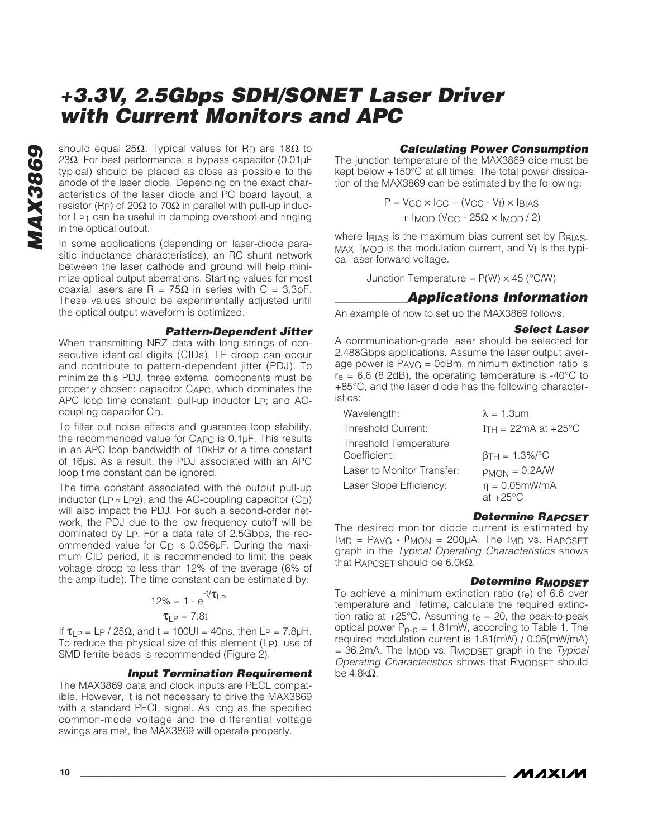Should equal 25Ω. Typical values for R<sub>D</sub> are 18Ω to<br>23Ω. For best performance, a bypass capacitor (0.01µF<br>typical) should be placed as close as possible to the<br>anode of the laser diode. Depending on the exact char-<br>acte 23Ω. For best performance, a bypass capacitor  $(0.01\mu$ F typical) should be placed as close as possible to the anode of the laser diode. Depending on the exact characteristics of the laser diode and PC board layout, a resistor (Rp) of 20Ω to 70Ω in parallel with pull-up inductor L<sub>P1</sub> can be useful in damping overshoot and ringing in the optical output.

In some applications (depending on laser-diode parasitic inductance characteristics), an RC shunt network between the laser cathode and ground will help minimize optical output aberrations. Starting values for most coaxial lasers are R =  $75Ω$  in series with C = 3.3pF. These values should be experimentally adjusted until the optical output waveform is optimized.

#### *Pattern-Dependent Jitter*

When transmitting NRZ data with long strings of consecutive identical digits (CIDs), LF droop can occur and contribute to pattern-dependent jitter (PDJ). To minimize this PDJ, three external components must be properly chosen: capacitor CAPC, which dominates the APC loop time constant; pull-up inductor LP; and ACcoupling capacitor CD.

To filter out noise effects and guarantee loop stability, the recommended value for CAPC is 0.1µF. This results in an APC loop bandwidth of 10kHz or a time constant of 16µs. As a result, the PDJ associated with an APC loop time constant can be ignored.

The time constant associated with the output pull-up inductor (Lp  $\approx$  Lp<sub>2</sub>), and the AC-coupling capacitor (C<sub>D</sub>) will also impact the PDJ. For such a second-order network, the PDJ due to the low frequency cutoff will be dominated by LP. For a data rate of 2.5Gbps, the recommended value for  $C_D$  is 0.056 $\mu$ F. During the maximum CID period, it is recommended to limit the peak voltage droop to less than 12% of the average (6% of the amplitude). The time constant can be estimated by:

$$
12\% = 1 - e^{-t/\tau_{LP}}
$$

$$
\tau_{LP} = 7.8t
$$

If  $\tau_{\text{LP}} = L_P$  / 25 $\Omega$ , and t = 100UI = 40ns, then Lp = 7.8µH. To reduce the physical size of this element (LP), use of SMD ferrite beads is recommended (Figure 2).

### *Input Termination Requirement*

The MAX3869 data and clock inputs are PECL compatible. However, it is not necessary to drive the MAX3869 with a standard PECL signal. As long as the specified common-mode voltage and the differential voltage swings are met, the MAX3869 will operate properly.

### *Calculating Power Consumption*

The junction temperature of the MAX3869 dice must be kept below +150°C at all times. The total power dissipation of the MAX3869 can be estimated by the following:

$$
P = V_{CC} \times I_{CC} + (V_{CC} - V_f) \times I_{BIAS}
$$

$$
+ I_{MOD} (V_{CC} - 25\Omega \times I_{MOD} / 2)
$$

where IBIAS is the maximum bias current set by RBIAS-MAX, IMOD is the modulation current, and Vf is the typical laser forward voltage.

Junction Temperature =  $P(W) \times 45$  (°C/W)

## *\_\_\_\_\_\_\_\_\_\_\_Applications Information*

An example of how to set up the MAX3869 follows.

#### *Select Laser*

A communication-grade laser should be selected for 2.488Gbps applications. Assume the laser output average power is  $P_{AVG} = 0$ dBm, minimum extinction ratio is  $r_{\text{e}}$  = 6.6 (8.2dB), the operating temperature is -40 $^{\circ}$ C to +85°C, and the laser diode has the following characteristics:

| Wavelength:                           | $\lambda = 1.3 \mu m$                     |
|---------------------------------------|-------------------------------------------|
| <b>Threshold Current:</b>             | ITH = 22mA at $+25^{\circ}$ C             |
| Threshold Temperature<br>Coefficient: | $\beta T H = 1.3\%/°C$                    |
| Laser to Monitor Transfer:            | $p_{MON} = 0.2$ A/W                       |
| Laser Slope Efficiency:               | $\eta = 0.05$ mW/mA<br>at $+25^{\circ}$ C |

### *Determine RAPCSET*

The desired monitor diode current is estimated by IMD = PAVG  $\cdot$  PMON = 200μA. The I<sub>MD</sub> vs. R<sub>APCSET</sub> graph in the *Typical Operating Characteristics* shows that RAPCSET should be 6.0kΩ.

### *Determine RMODSET*

To achieve a minimum extinction ratio  $(r_e)$  of 6.6 over temperature and lifetime, calculate the required extinction ratio at  $+25^{\circ}$ C. Assuming  $r_{\theta} = 20$ , the peak-to-peak optical power  $P_{D-D} = 1.81$ mW, according to Table 1. The required modulation current is 1.81(mW) / 0.05(mW/mA) = 36.2mA. The IMOD vs. RMODSET graph in the *Typical Operating Characteristics* shows that RMODSET should be 4.8kΩ.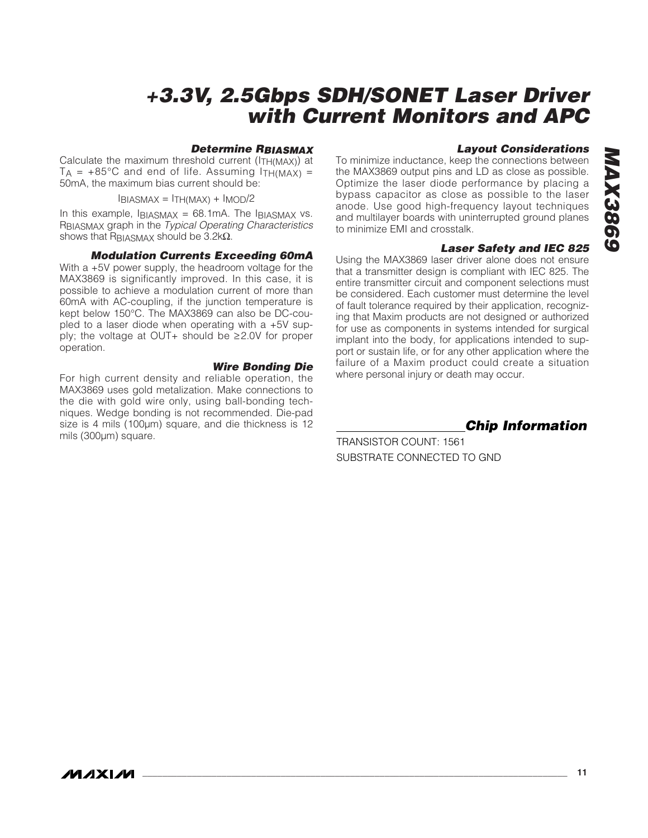### *Determine RBIASMAX*

Calculate the maximum threshold current (ITH(MAX)) at  $TA = +85^{\circ}C$  and end of life. Assuming  $ITH(MAX) =$ 50mA, the maximum bias current should be:

 $I_{BIASMAX} = I_{THMAX} + I_{MOD}/2$ 

In this example,  $IBIASMAX = 68.1mA$ . The IBIASMAX vs. RBIASMAX graph in the *Typical Operating Characteristics* shows that RBIASMAX should be  $3.2k\Omega$ .

### *Modulation Currents Exceeding 60mA*

With a +5V power supply, the headroom voltage for the MAX3869 is significantly improved. In this case, it is possible to achieve a modulation current of more than 60mA with AC-coupling, if the junction temperature is kept below 150°C. The MAX3869 can also be DC-coupled to a laser diode when operating with a +5V supply; the voltage at OUT+ should be ≥2.0V for proper operation.

### *Wire Bonding Die*

For high current density and reliable operation, the MAX3869 uses gold metalization. Make connections to the die with gold wire only, using ball-bonding techniques. Wedge bonding is not recommended. Die-pad size is 4 mils (100µm) square, and die thickness is 12 mils (300µm) square.

## *Layout Considerations*

To minimize inductance, keep the connections between the MAX3869 output pins and LD as close as possible. Optimize the laser diode performance by placing a bypass capacitor as close as possible to the laser anode. Use good high-frequency layout techniques and multilayer boards with uninterrupted ground planes to minimize EMI and crosstalk.

#### *Laser Safety and IEC 825*

Using the MAX3869 laser driver alone does not ensure that a transmitter design is compliant with IEC 825. The entire transmitter circuit and component selections must be considered. Each customer must determine the level of fault tolerance required by their application, recognizing that Maxim products are not designed or authorized for use as components in systems intended for surgical implant into the body, for applications intended to support or sustain life, or for any other application where the failure of a Maxim product could create a situation where personal injury or death may occur.

*Chip Information*

TRANSISTOR COUNT: 1561 SUBSTRATE CONNECTED TO GND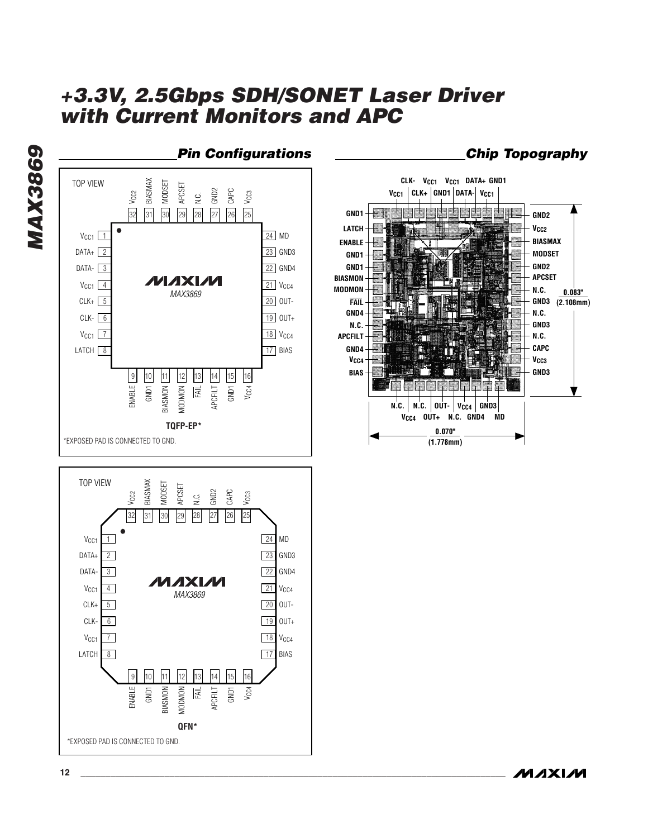

*MAX3869*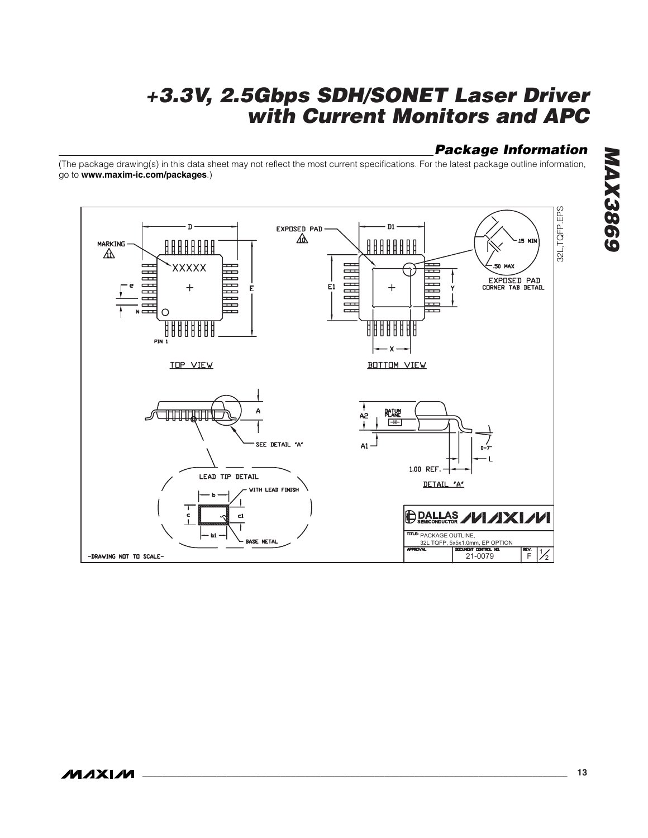# *Package Information*

(The package drawing(s) in this data sheet may not reflect the most current specifications. For the latest package outline information, go to **www.maxim-ic.com/packages**.)

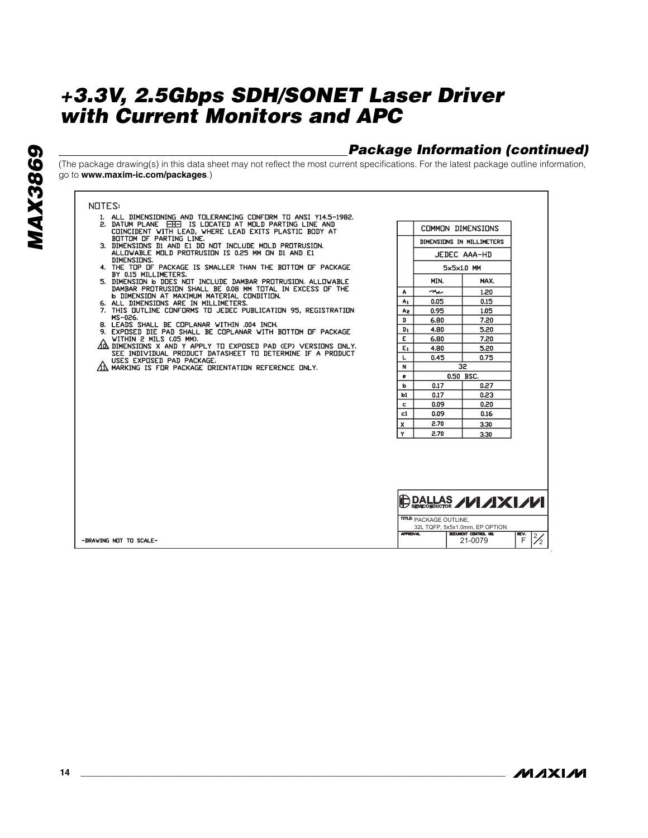# *Package Information (continued)*

(The package drawing(s) in this data sheet may not reflect the most current specifications. For the latest package outline information, go to **www.maxim-ic.com/packages**.)

#### **NOTES:**

- 1. ALL DIMENSIONING AND TOLERANCING CONFORM TO ANSI Y14.5-1982.<br>2. DATUM PLANE EHD IS LOCATED AT MOLD PARTING LINE AND<br>COINCIDENT WITH LEAD, WHERE LEAD EXITS PLASTIC BODY AT<br>BOTTOM OF PARTING LINE.<br>3. DIMENSIONS DI AND EI
- 
- DIMENSIONS.<br>
DIMENSIONS.<br>
4. THE TOP OF PACKAGE IS SMALLER THAN THE BOTTOM OF PACKAGE BY 0.15 MILLIMETERS.
- BY U.35 MILLIMELERS.<br>
5. DIMENSION & DDES NOT INCLUDE DAMBAR PROTRUSION. ALLOWABLE<br>
DAMBAR PROTRUSION SHALL BE 0.08 MM TOTAL IN EXCESS OF THE<br>
6. ALL DIMENSION AT MAXIMUM MATERIAL CONDITION.<br>
6. ALL DIMENSIONS ARE IN MILLI
- MS-026.
- 
- 
- MS-U26.<br>
B. LEADS SHALL BE COPLANAR WITHIN .004 INCH.<br>
9. EXPOSED DIE PAD SHALL BE COPLANAR WITH BOTTOM OF PACKAGE<br>
AM UTHENSIONS X AND Y APPLY TO EXPOSED PAD (EP) VERSIONS ONLY.<br>
AD DIMENSIONS X AND Y APPLY TO EXPOSED PAD
- AN MARKING IS FOR PACKAGE ORIENTATION REFERENCE ONLY.

|    | COMMON DIMENSIONS         |                        |
|----|---------------------------|------------------------|
|    | DIMENSIONS IN MILLIMETERS |                        |
|    |                           | JEDEC AAA-HD           |
|    |                           | $5\times5\times1.0$ MM |
|    | MIN.                      | MAX.                   |
| A  | ≁                         | 1.20                   |
| A1 | 0.05                      | 0.15                   |
| A2 | 0.95                      | 1.05                   |
| D  | 6.80                      | 7.20                   |
| Dı | 4.80                      | 5.20                   |
| E. | 6.80                      | 7.20                   |
| E1 | 4.80                      | 5.20                   |
| L  | 0.45                      | 0.75                   |
| N  |                           | 32                     |
| e  |                           | 0.50 BSC.              |
| b  | 0.17                      | 0.27                   |
| b1 | 0.17                      | 0.23                   |
| Ċ  | 0.09                      | 0.20                   |
| c1 | 0.09                      | 0.16                   |
| x  | 2.70                      | 3.30                   |
| Y  | 2.70                      | 3.30                   |

|                        | $\bigoplus$ DALLAS $\diagup$ $\bigcup$ $\diagup$ $\diagup$ $\bigcup$ $\bigcup$ |                                 |      |               |  |  |  |
|------------------------|--------------------------------------------------------------------------------|---------------------------------|------|---------------|--|--|--|
|                        | <b>ITTLE PACKAGE OUTLINE,</b>                                                  |                                 |      |               |  |  |  |
|                        |                                                                                | 32L TQFP, 5x5x1.0mm, EP OPTION  |      |               |  |  |  |
| -DRAWING NOT TO SCALE- | <b>APPROVAL</b>                                                                | DOCUMENT CONTROL NO.<br>21-0079 | REV. | $\frac{1}{2}$ |  |  |  |